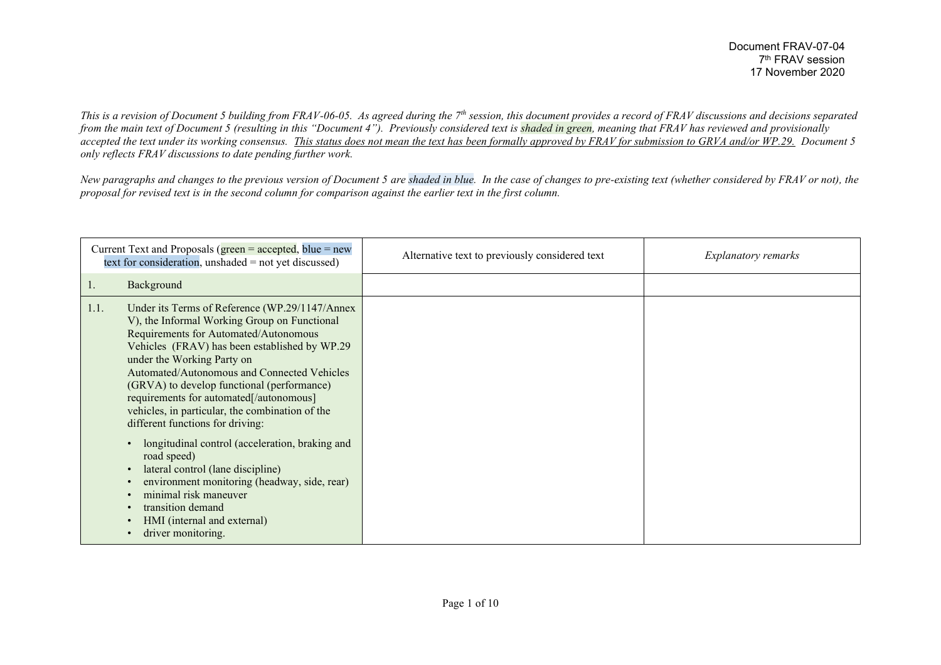*This is a revision of Document 5 building from FRAV-06-05. As agreed during the 7th session, this document provides a record of FRAV discussions and decisions separated from the main text of Document 5 (resulting in this "Document 4"). Previously considered text is shaded in green, meaning that FRAV has reviewed and provisionally accepted the text under its working consensus. This status does not mean the text has been formally approved by FRAV for submission to GRVA and/or WP.29. Document 5 only reflects FRAV discussions to date pending further work.*

*New paragraphs and changes to the previous version of Document 5 are shaded in blue. In the case of changes to pre-existing text (whether considered by FRAV or not), the proposal for revised text is in the second column for comparison against the earlier text in the first column.*

| Current Text and Proposals ( $green = accepted$ , blue = new<br>text for consideration, unshaded $=$ not yet discussed) |                                                                                                                                                                                                                                                                                                                                                                                                                                                                                                                                                                                        | Alternative text to previously considered text | <i>Explanatory remarks</i> |
|-------------------------------------------------------------------------------------------------------------------------|----------------------------------------------------------------------------------------------------------------------------------------------------------------------------------------------------------------------------------------------------------------------------------------------------------------------------------------------------------------------------------------------------------------------------------------------------------------------------------------------------------------------------------------------------------------------------------------|------------------------------------------------|----------------------------|
| Ι.                                                                                                                      | Background                                                                                                                                                                                                                                                                                                                                                                                                                                                                                                                                                                             |                                                |                            |
| 1.1.                                                                                                                    | Under its Terms of Reference (WP.29/1147/Annex<br>V), the Informal Working Group on Functional<br>Requirements for Automated/Autonomous<br>Vehicles (FRAV) has been established by WP.29<br>under the Working Party on<br>Automated/Autonomous and Connected Vehicles<br>(GRVA) to develop functional (performance)<br>requirements for automated[/autonomous]<br>vehicles, in particular, the combination of the<br>different functions for driving:<br>longitudinal control (acceleration, braking and<br>$\bullet$<br>road speed)<br>lateral control (lane discipline)<br>$\bullet$ |                                                |                            |
|                                                                                                                         | environment monitoring (headway, side, rear)<br>minimal risk maneuver                                                                                                                                                                                                                                                                                                                                                                                                                                                                                                                  |                                                |                            |
|                                                                                                                         | transition demand<br>HMI (internal and external)<br>driver monitoring.                                                                                                                                                                                                                                                                                                                                                                                                                                                                                                                 |                                                |                            |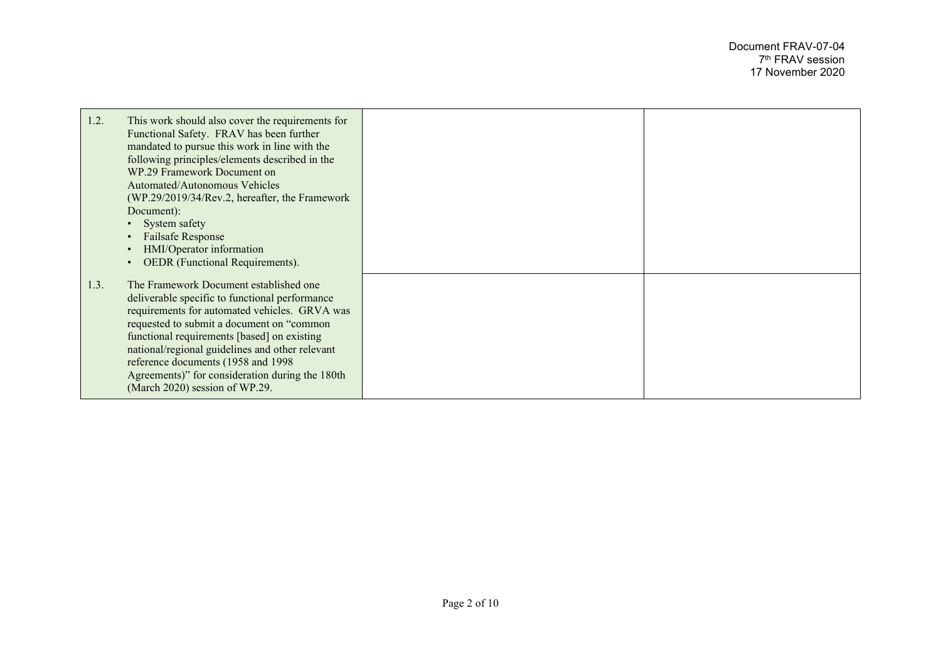| 1.2. | This work should also cover the requirements for                                           |  |
|------|--------------------------------------------------------------------------------------------|--|
|      | Functional Safety. FRAV has been further                                                   |  |
|      | mandated to pursue this work in line with the                                              |  |
|      | following principles/elements described in the                                             |  |
|      | WP.29 Framework Document on<br>Automated/Autonomous Vehicles                               |  |
|      | (WP.29/2019/34/Rev.2, hereafter, the Framework                                             |  |
|      | Document):                                                                                 |  |
|      | System safety<br>$\bullet$                                                                 |  |
|      | <b>Failsafe Response</b><br>$\bullet$<br>HMI/Operator information                          |  |
|      | OEDR (Functional Requirements).<br>$\bullet$                                               |  |
| 1.3. | The Framework Document established one                                                     |  |
|      | deliverable specific to functional performance                                             |  |
|      | requirements for automated vehicles. GRVA was<br>requested to submit a document on "common |  |
|      | functional requirements [based] on existing                                                |  |
|      | national/regional guidelines and other relevant                                            |  |
|      | reference documents (1958 and 1998)                                                        |  |
|      | Agreements)" for consideration during the 180th<br>(March 2020) session of WP.29.          |  |
|      |                                                                                            |  |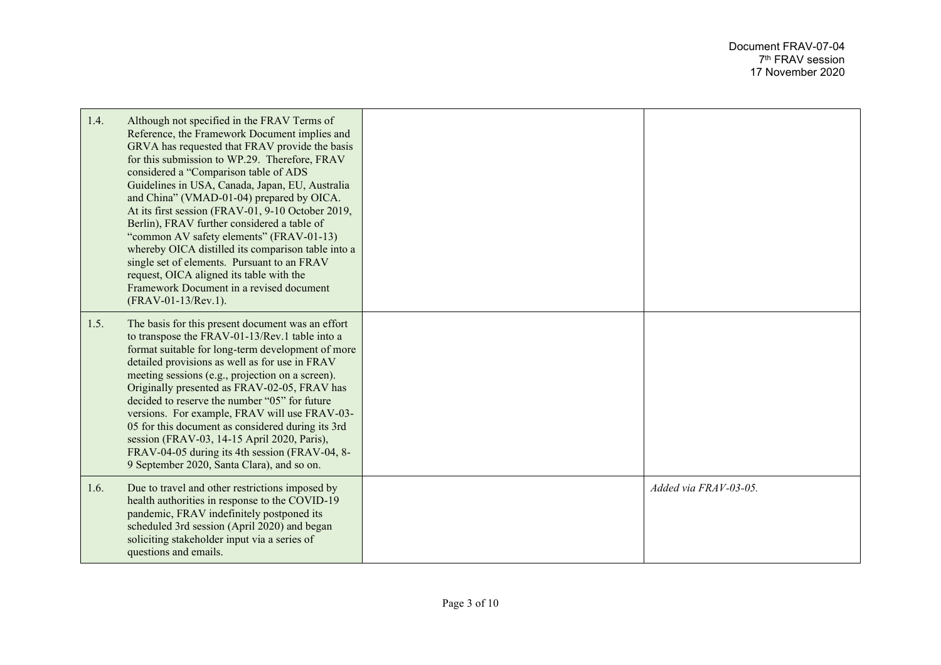| 1.4. | Although not specified in the FRAV Terms of<br>Reference, the Framework Document implies and<br>GRVA has requested that FRAV provide the basis<br>for this submission to WP.29. Therefore, FRAV<br>considered a "Comparison table of ADS<br>Guidelines in USA, Canada, Japan, EU, Australia<br>and China" (VMAD-01-04) prepared by OICA.<br>At its first session (FRAV-01, 9-10 October 2019,<br>Berlin), FRAV further considered a table of<br>"common AV safety elements" (FRAV-01-13)<br>whereby OICA distilled its comparison table into a<br>single set of elements. Pursuant to an FRAV<br>request, OICA aligned its table with the<br>Framework Document in a revised document<br>(FRAV-01-13/Rev.1). |                       |
|------|--------------------------------------------------------------------------------------------------------------------------------------------------------------------------------------------------------------------------------------------------------------------------------------------------------------------------------------------------------------------------------------------------------------------------------------------------------------------------------------------------------------------------------------------------------------------------------------------------------------------------------------------------------------------------------------------------------------|-----------------------|
| 1.5. | The basis for this present document was an effort<br>to transpose the FRAV-01-13/Rev.1 table into a<br>format suitable for long-term development of more<br>detailed provisions as well as for use in FRAV<br>meeting sessions (e.g., projection on a screen).<br>Originally presented as FRAV-02-05, FRAV has<br>decided to reserve the number "05" for future<br>versions. For example, FRAV will use FRAV-03-<br>05 for this document as considered during its 3rd<br>session (FRAV-03, 14-15 April 2020, Paris),<br>FRAV-04-05 during its 4th session (FRAV-04, 8-<br>9 September 2020, Santa Clara), and so on.                                                                                         |                       |
| 1.6. | Due to travel and other restrictions imposed by<br>health authorities in response to the COVID-19<br>pandemic, FRAV indefinitely postponed its<br>scheduled 3rd session (April 2020) and began<br>soliciting stakeholder input via a series of<br>questions and emails.                                                                                                                                                                                                                                                                                                                                                                                                                                      | Added via FRAV-03-05. |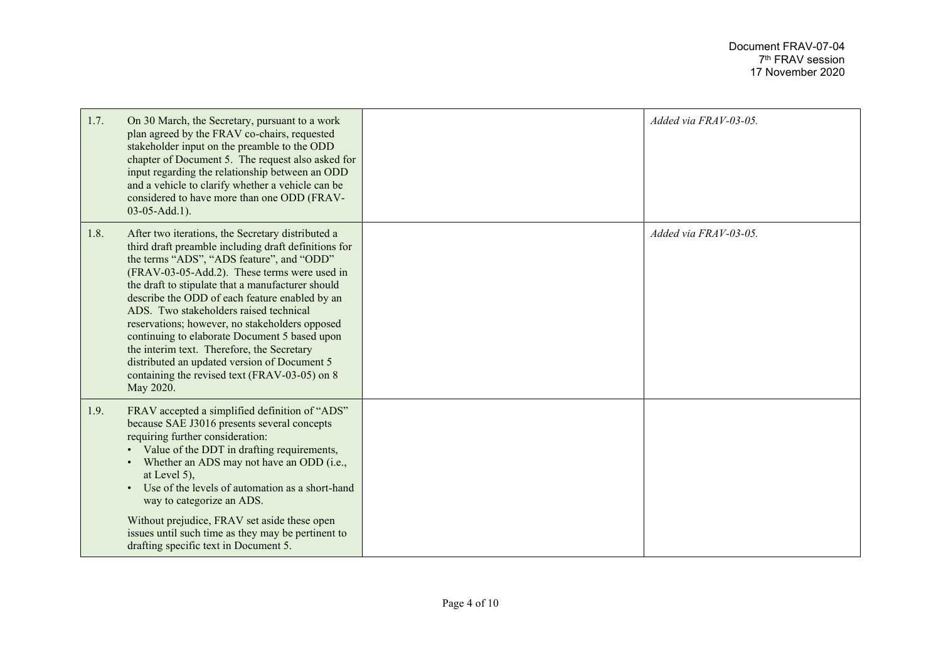| 1.7. | On 30 March, the Secretary, pursuant to a work<br>plan agreed by the FRAV co-chairs, requested<br>stakeholder input on the preamble to the ODD<br>chapter of Document 5. The request also asked for<br>input regarding the relationship between an ODD<br>and a vehicle to clarify whether a vehicle can be<br>considered to have more than one ODD (FRAV-<br>$03-05-Add.1$ ).                                                                                                                                                                                                                                         | Added via FRAV-03-05. |
|------|------------------------------------------------------------------------------------------------------------------------------------------------------------------------------------------------------------------------------------------------------------------------------------------------------------------------------------------------------------------------------------------------------------------------------------------------------------------------------------------------------------------------------------------------------------------------------------------------------------------------|-----------------------|
| 1.8. | After two iterations, the Secretary distributed a<br>third draft preamble including draft definitions for<br>the terms "ADS", "ADS feature", and "ODD"<br>(FRAV-03-05-Add.2). These terms were used in<br>the draft to stipulate that a manufacturer should<br>describe the ODD of each feature enabled by an<br>ADS. Two stakeholders raised technical<br>reservations; however, no stakeholders opposed<br>continuing to elaborate Document 5 based upon<br>the interim text. Therefore, the Secretary<br>distributed an updated version of Document 5<br>containing the revised text (FRAV-03-05) on 8<br>May 2020. | Added via FRAV-03-05. |
| 1.9. | FRAV accepted a simplified definition of "ADS"<br>because SAE J3016 presents several concepts<br>requiring further consideration:<br>Value of the DDT in drafting requirements,<br>Whether an ADS may not have an ODD (i.e.,<br>$\bullet$<br>at Level 5),<br>Use of the levels of automation as a short-hand<br>way to categorize an ADS.<br>Without prejudice, FRAV set aside these open<br>issues until such time as they may be pertinent to<br>drafting specific text in Document 5.                                                                                                                               |                       |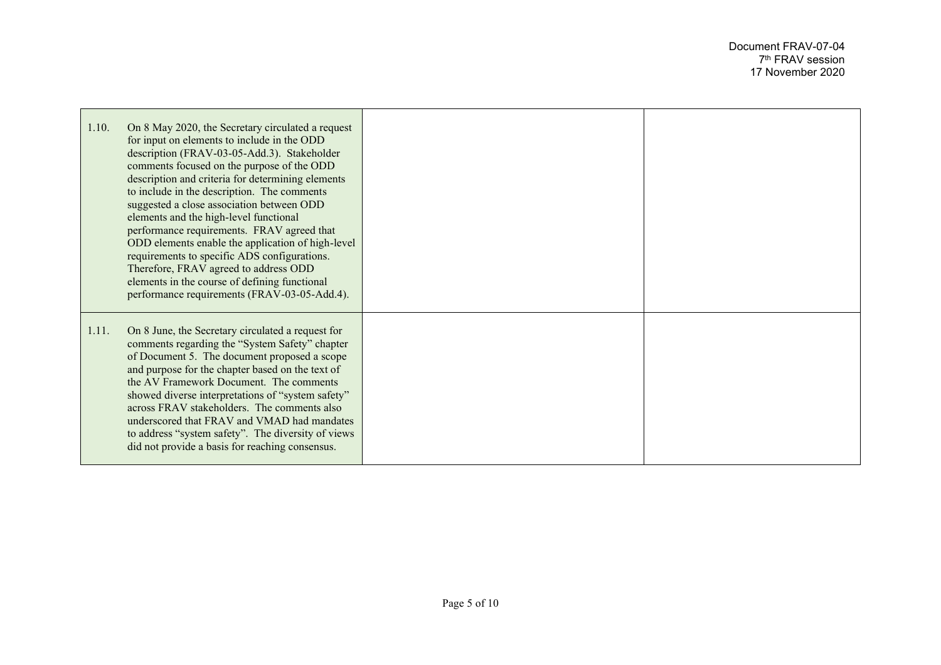| 1.10. | On 8 May 2020, the Secretary circulated a request<br>for input on elements to include in the ODD<br>description (FRAV-03-05-Add.3). Stakeholder<br>comments focused on the purpose of the ODD<br>description and criteria for determining elements<br>to include in the description. The comments<br>suggested a close association between ODD<br>elements and the high-level functional<br>performance requirements. FRAV agreed that<br>ODD elements enable the application of high-level<br>requirements to specific ADS configurations.<br>Therefore, FRAV agreed to address ODD<br>elements in the course of defining functional<br>performance requirements (FRAV-03-05-Add.4). |  |
|-------|---------------------------------------------------------------------------------------------------------------------------------------------------------------------------------------------------------------------------------------------------------------------------------------------------------------------------------------------------------------------------------------------------------------------------------------------------------------------------------------------------------------------------------------------------------------------------------------------------------------------------------------------------------------------------------------|--|
| 1.11. | On 8 June, the Secretary circulated a request for<br>comments regarding the "System Safety" chapter<br>of Document 5. The document proposed a scope<br>and purpose for the chapter based on the text of<br>the AV Framework Document. The comments<br>showed diverse interpretations of "system safety"<br>across FRAV stakeholders. The comments also<br>underscored that FRAV and VMAD had mandates<br>to address "system safety". The diversity of views<br>did not provide a basis for reaching consensus.                                                                                                                                                                        |  |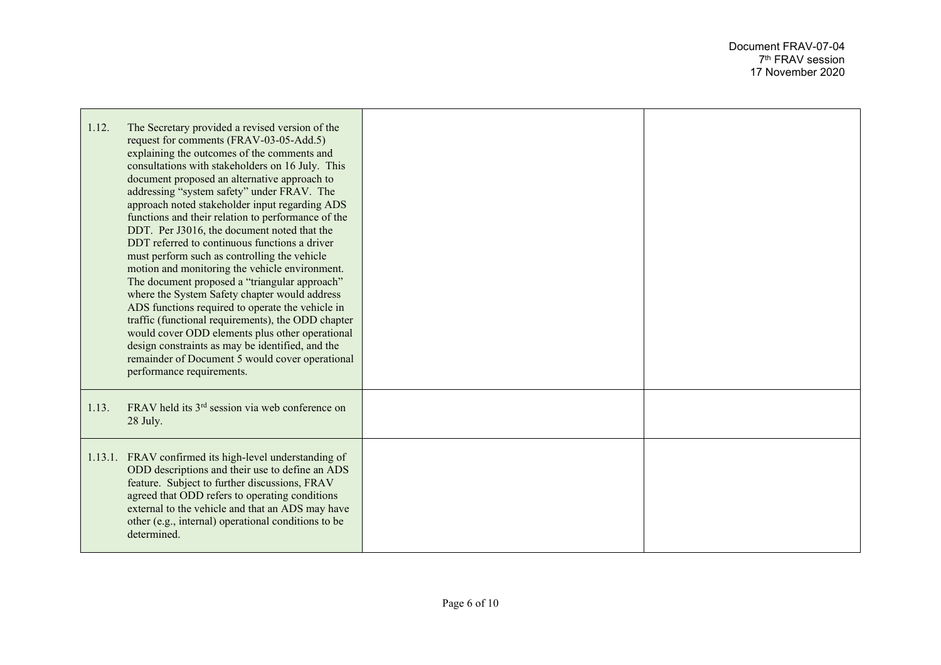| 1.12. | The Secretary provided a revised version of the<br>request for comments (FRAV-03-05-Add.5)<br>explaining the outcomes of the comments and<br>consultations with stakeholders on 16 July. This<br>document proposed an alternative approach to<br>addressing "system safety" under FRAV. The<br>approach noted stakeholder input regarding ADS<br>functions and their relation to performance of the<br>DDT. Per J3016, the document noted that the<br>DDT referred to continuous functions a driver<br>must perform such as controlling the vehicle<br>motion and monitoring the vehicle environment.<br>The document proposed a "triangular approach"<br>where the System Safety chapter would address<br>ADS functions required to operate the vehicle in<br>traffic (functional requirements), the ODD chapter<br>would cover ODD elements plus other operational<br>design constraints as may be identified, and the<br>remainder of Document 5 would cover operational<br>performance requirements. |  |
|-------|----------------------------------------------------------------------------------------------------------------------------------------------------------------------------------------------------------------------------------------------------------------------------------------------------------------------------------------------------------------------------------------------------------------------------------------------------------------------------------------------------------------------------------------------------------------------------------------------------------------------------------------------------------------------------------------------------------------------------------------------------------------------------------------------------------------------------------------------------------------------------------------------------------------------------------------------------------------------------------------------------------|--|
| 1.13. | FRAV held its 3 <sup>rd</sup> session via web conference on<br>28 July.                                                                                                                                                                                                                                                                                                                                                                                                                                                                                                                                                                                                                                                                                                                                                                                                                                                                                                                                  |  |
|       | 1.13.1. FRAV confirmed its high-level understanding of<br>ODD descriptions and their use to define an ADS<br>feature. Subject to further discussions, FRAV<br>agreed that ODD refers to operating conditions<br>external to the vehicle and that an ADS may have<br>other (e.g., internal) operational conditions to be<br>determined.                                                                                                                                                                                                                                                                                                                                                                                                                                                                                                                                                                                                                                                                   |  |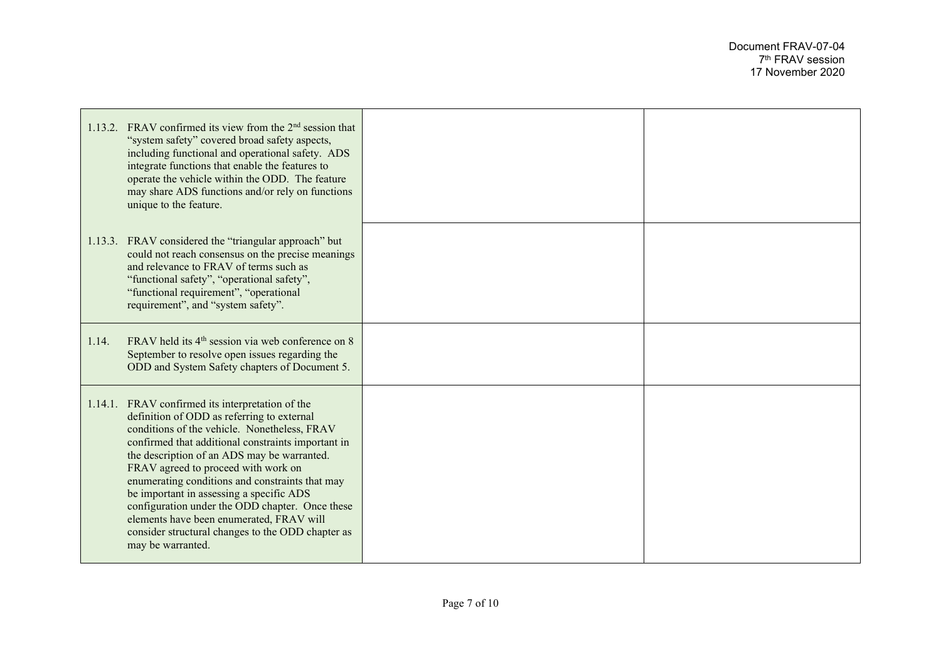|                   | 1.13.2. FRAV confirmed its view from the 2 <sup>nd</sup> session that<br>"system safety" covered broad safety aspects,<br>including functional and operational safety. ADS<br>integrate functions that enable the features to<br>operate the vehicle within the ODD. The feature<br>may share ADS functions and/or rely on functions<br>unique to the feature.                                                                                                                                                                                |  |
|-------------------|-----------------------------------------------------------------------------------------------------------------------------------------------------------------------------------------------------------------------------------------------------------------------------------------------------------------------------------------------------------------------------------------------------------------------------------------------------------------------------------------------------------------------------------------------|--|
|                   | 1.13.3. FRAV considered the "triangular approach" but<br>could not reach consensus on the precise meanings<br>and relevance to FRAV of terms such as<br>"functional safety", "operational safety",<br>"functional requirement", "operational<br>requirement", and "system safety".                                                                                                                                                                                                                                                            |  |
| 1.14.             | FRAV held its 4 <sup>th</sup> session via web conference on 8<br>September to resolve open issues regarding the<br>ODD and System Safety chapters of Document 5.                                                                                                                                                                                                                                                                                                                                                                              |  |
| may be warranted. | 1.14.1. FRAV confirmed its interpretation of the<br>definition of ODD as referring to external<br>conditions of the vehicle. Nonetheless, FRAV<br>confirmed that additional constraints important in<br>the description of an ADS may be warranted.<br>FRAV agreed to proceed with work on<br>enumerating conditions and constraints that may<br>be important in assessing a specific ADS<br>configuration under the ODD chapter. Once these<br>elements have been enumerated, FRAV will<br>consider structural changes to the ODD chapter as |  |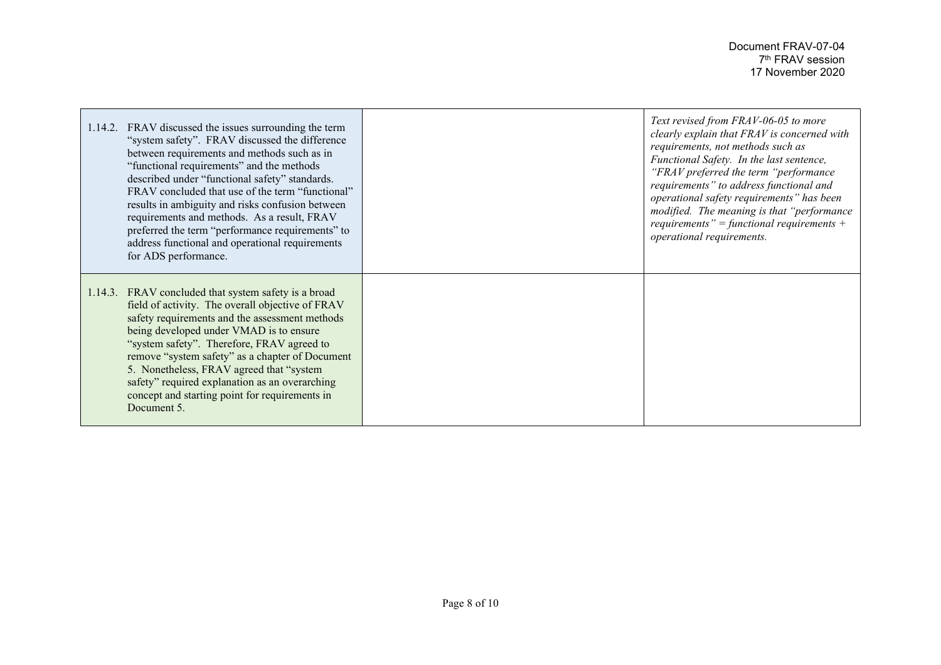| 1.14.2. | FRAV discussed the issues surrounding the term<br>"system safety". FRAV discussed the difference<br>between requirements and methods such as in<br>"functional requirements" and the methods<br>described under "functional safety" standards.<br>FRAV concluded that use of the term "functional"<br>results in ambiguity and risks confusion between<br>requirements and methods. As a result, FRAV<br>preferred the term "performance requirements" to<br>address functional and operational requirements<br>for ADS performance. | Text revised from FRAV-06-05 to more<br>clearly explain that FRAV is concerned with<br>requirements, not methods such as<br>Functional Safety. In the last sentence,<br>"FRAV preferred the term "performance"<br>requirements" to address functional and<br>operational safety requirements" has been<br>modified. The meaning is that "performance"<br>requirements" = functional requirements +<br>operational requirements. |
|---------|--------------------------------------------------------------------------------------------------------------------------------------------------------------------------------------------------------------------------------------------------------------------------------------------------------------------------------------------------------------------------------------------------------------------------------------------------------------------------------------------------------------------------------------|---------------------------------------------------------------------------------------------------------------------------------------------------------------------------------------------------------------------------------------------------------------------------------------------------------------------------------------------------------------------------------------------------------------------------------|
|         | 1.14.3. FRAV concluded that system safety is a broad<br>field of activity. The overall objective of FRAV<br>safety requirements and the assessment methods<br>being developed under VMAD is to ensure<br>"system safety". Therefore, FRAV agreed to<br>remove "system safety" as a chapter of Document<br>5. Nonetheless, FRAV agreed that "system"<br>safety" required explanation as an overarching<br>concept and starting point for requirements in<br>Document 5.                                                               |                                                                                                                                                                                                                                                                                                                                                                                                                                 |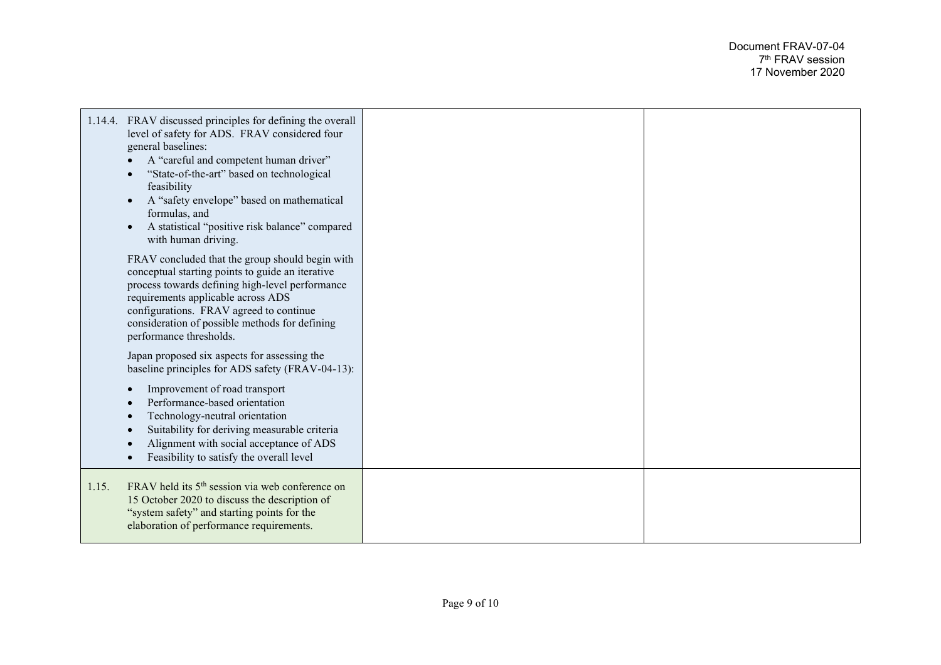|       | 1.14.4. FRAV discussed principles for defining the overall<br>level of safety for ADS. FRAV considered four<br>general baselines:<br>A "careful and competent human driver"<br>"State-of-the-art" based on technological<br>feasibility<br>A "safety envelope" based on mathematical<br>formulas, and<br>A statistical "positive risk balance" compared<br>with human driving. |  |
|-------|--------------------------------------------------------------------------------------------------------------------------------------------------------------------------------------------------------------------------------------------------------------------------------------------------------------------------------------------------------------------------------|--|
|       | FRAV concluded that the group should begin with<br>conceptual starting points to guide an iterative<br>process towards defining high-level performance<br>requirements applicable across ADS<br>configurations. FRAV agreed to continue<br>consideration of possible methods for defining<br>performance thresholds.                                                           |  |
|       | Japan proposed six aspects for assessing the<br>baseline principles for ADS safety (FRAV-04-13):                                                                                                                                                                                                                                                                               |  |
|       | Improvement of road transport<br>Performance-based orientation<br>Technology-neutral orientation<br>Suitability for deriving measurable criteria<br>Alignment with social acceptance of ADS<br>Feasibility to satisfy the overall level                                                                                                                                        |  |
| 1.15. | FRAV held its 5 <sup>th</sup> session via web conference on<br>15 October 2020 to discuss the description of<br>"system safety" and starting points for the<br>elaboration of performance requirements.                                                                                                                                                                        |  |